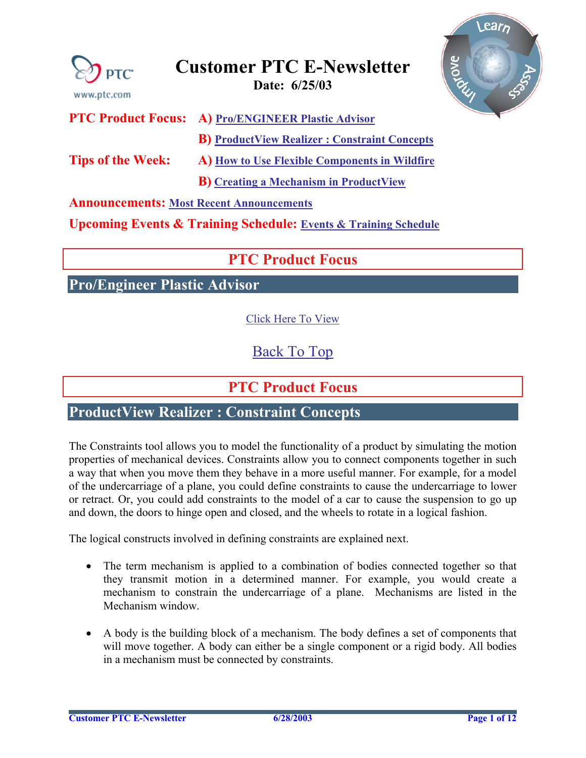<span id="page-0-0"></span>

**Announcements: [Most Recent Announcements](#page-10-0)** 

**Upcoming Events & Training Schedule: [Events & Training Schedule](#page-11-0)**

## **PTC Product Focus**

**Pro/Engineer Plastic Advisor** 

[Click Here To View](http://www.ptc-mss.com/Tutorial/Tip_Tech/Customer PTC E-Newsletter 6-25-2003_A.pdf)

[Back To Top](#page-0-0)

## **PTC Product Focus**

## **ProductView Realizer : Constraint Concepts**

The Constraints tool allows you to model the functionality of a product by simulating the motion properties of mechanical devices. Constraints allow you to connect components together in such a way that when you move them they behave in a more useful manner. For example, for a model of the undercarriage of a plane, you could define constraints to cause the undercarriage to lower or retract. Or, you could add constraints to the model of a car to cause the suspension to go up and down, the doors to hinge open and closed, and the wheels to rotate in a logical fashion.

The logical constructs involved in defining constraints are explained next.

- The term mechanism is applied to a combination of bodies connected together so that they transmit motion in a determined manner. For example, you would create a mechanism to constrain the undercarriage of a plane. Mechanisms are listed in the Mechanism window.
- A body is the building block of a mechanism. The body defines a set of components that will move together. A body can either be a single component or a rigid body. All bodies in a mechanism must be connected by constraints.

Learn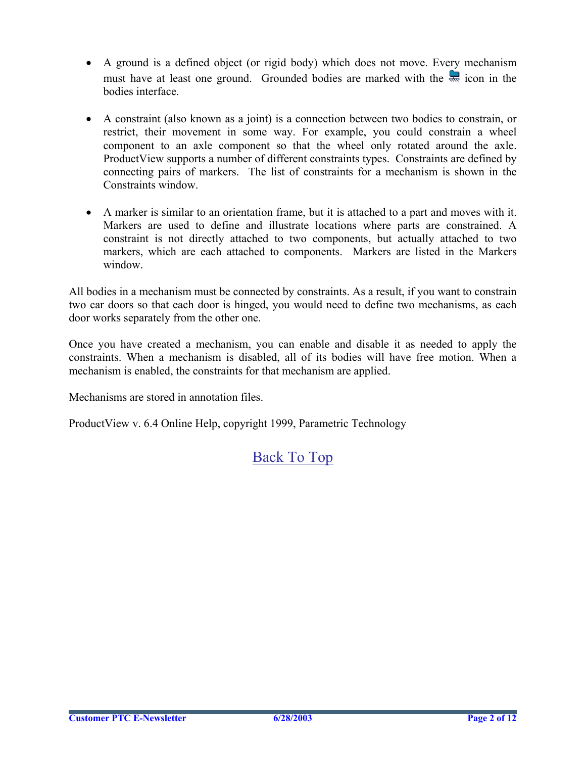- A ground is a defined object (or rigid body) which does not move. Every mechanism must have at least one ground. Grounded bodies are marked with the  $\frac{1}{\sqrt{2}}$  icon in the bodies interface.
- A constraint (also known as a joint) is a connection between two bodies to constrain, or restrict, their movement in some way. For example, you could constrain a wheel component to an axle component so that the wheel only rotated around the axle. ProductView supports a number of different constraints types. Constraints are defined by connecting pairs of markers. The list of constraints for a mechanism is shown in the Constraints window.
- A marker is similar to an orientation frame, but it is attached to a part and moves with it. Markers are used to define and illustrate locations where parts are constrained. A constraint is not directly attached to two components, but actually attached to two markers, which are each attached to components. Markers are listed in the Markers window.

All bodies in a mechanism must be connected by constraints. As a result, if you want to constrain two car doors so that each door is hinged, you would need to define two mechanisms, as each door works separately from the other one.

Once you have created a mechanism, you can enable and disable it as needed to apply the constraints. When a mechanism is disabled, all of its bodies will have free motion. When a mechanism is enabled, the constraints for that mechanism are applied.

Mechanisms are stored in annotation files.

ProductView v. 6.4 Online Help, copyright 1999, Parametric Technology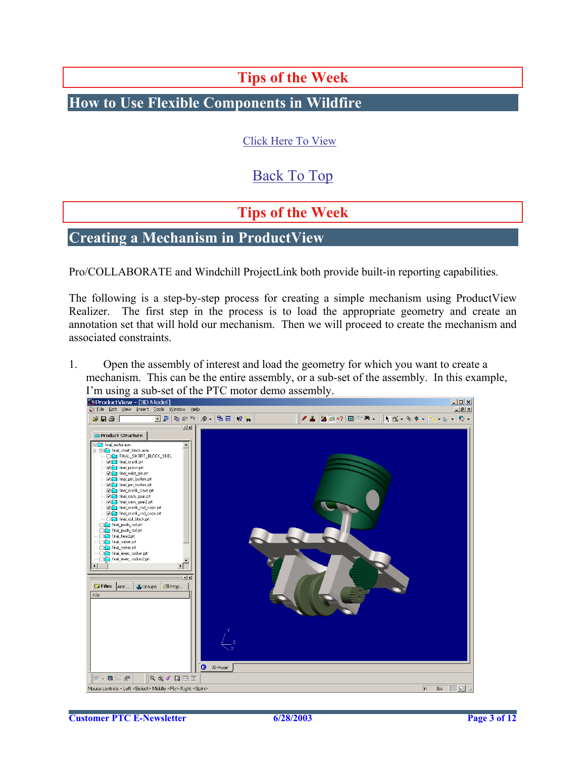## **Tips of the Week**

<span id="page-2-0"></span>**How to Use Flexible Components in Wildfire**

[Click Here To View](http://www.ptc-mss.com/Tutorial/Tip_Tech/Customer PTC E-Newsletter 6-25-2003_A.pdf)

## [Back To Top](#page-0-0)

## **Tips of the Week**

### **Creating a Mechanism in ProductView**

Pro/COLLABORATE and Windchill ProjectLink both provide built-in reporting capabilities.

The following is a step-by-step process for creating a simple mechanism using ProductView Realizer. The first step in the process is to load the appropriate geometry and create an annotation set that will hold our mechanism. Then we will proceed to create the mechanism and associated constraints.

1. Open the assembly of interest and load the geometry for which you want to create a mechanism. This can be the entire assembly, or a sub-set of the assembly. In this example,

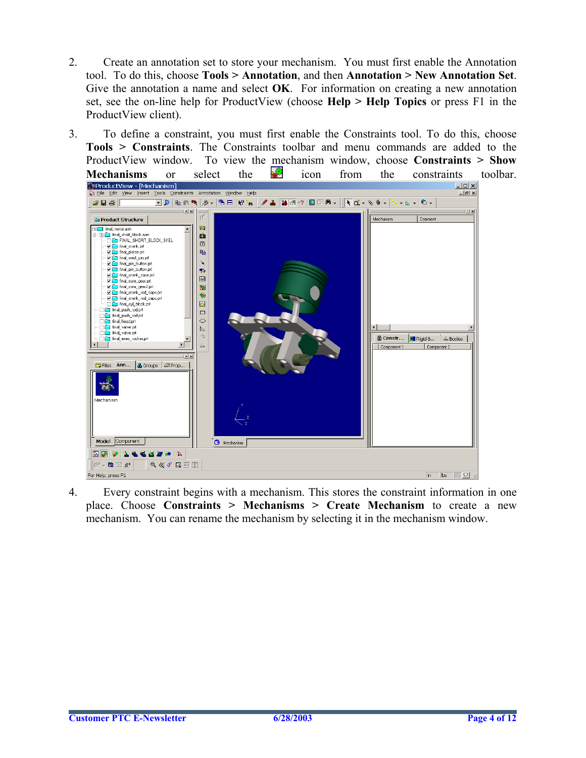- 2. Create an annotation set to store your mechanism. You must first enable the Annotation tool. To do this, choose **Tools > Annotation**, and then **Annotation > New Annotation Set**. Give the annotation a name and select **OK**. For information on creating a new annotation set, see the on-line help for ProductView (choose **Help > Help Topics** or press F1 in the ProductView client).
- 3. To define a constraint, you must first enable the Constraints tool. To do this, choose **Tools > Constraints**. The Constraints toolbar and menu commands are added to the ProductView window. To view the mechanism window, choose **Constraints > Show**



4. Every constraint begins with a mechanism. This stores the constraint information in one place. Choose **Constraints > Mechanisms > Create Mechanism** to create a new mechanism. You can rename the mechanism by selecting it in the mechanism window.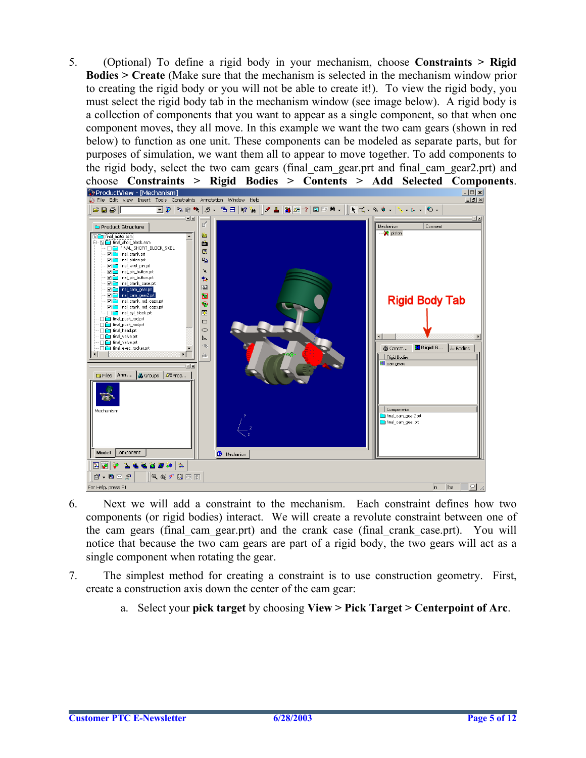5. (Optional) To define a rigid body in your mechanism, choose **Constraints > Rigid Bodies > Create** (Make sure that the mechanism is selected in the mechanism window prior to creating the rigid body or you will not be able to create it!). To view the rigid body, you must select the rigid body tab in the mechanism window (see image below). A rigid body is a collection of components that you want to appear as a single component, so that when one component moves, they all move. In this example we want the two cam gears (shown in red below) to function as one unit. These components can be modeled as separate parts, but for purposes of simulation, we want them all to appear to move together. To add components to the rigid body, select the two cam gears (final\_cam\_gear.prt and final\_cam\_gear2.prt) and



- 6. Next we will add a constraint to the mechanism. Each constraint defines how two components (or rigid bodies) interact. We will create a revolute constraint between one of the cam gears (final\_cam\_gear.prt) and the crank case (final\_crank\_case.prt). You will notice that because the two cam gears are part of a rigid body, the two gears will act as a single component when rotating the gear.
- 7. The simplest method for creating a constraint is to use construction geometry. First, create a construction axis down the center of the cam gear:
	- a. Select your **pick target** by choosing **View > Pick Target > Centerpoint of Arc**.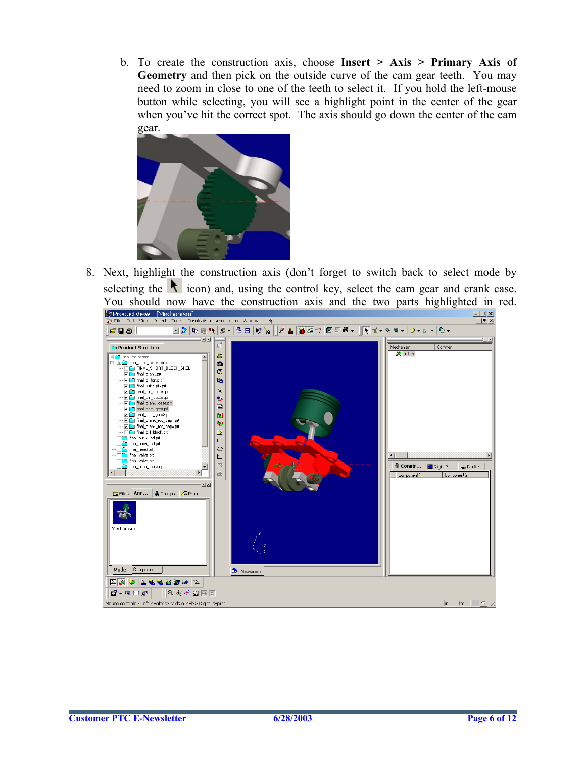b. To create the construction axis, choose **Insert > Axis > Primary Axis of Geometry** and then pick on the outside curve of the cam gear teeth. You may need to zoom in close to one of the teeth to select it. If you hold the left-mouse button while selecting, you will see a highlight point in the center of the gear when you've hit the correct spot. The axis should go down the center of the cam gear.



8. Next, highlight the construction axis (don't forget to switch back to select mode by selecting the  $\blacksquare$  icon) and, using the control key, select the cam gear and crank case. You should now have the construction axis and the two parts highlighted in red.<br>
Supproduct View Mechanism

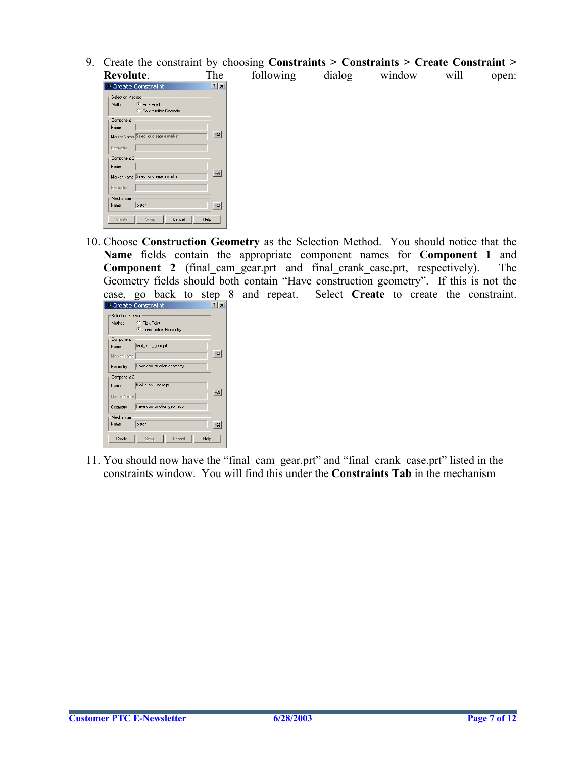9. Create the constraint by choosing **Constraints > Constraints > Create Constraint >** following dialog window will open:

| kevolute.        |                                       | 1 ne |
|------------------|---------------------------------------|------|
|                  | <b>A</b> Create Constraint            | 2 x  |
| Selection Method |                                       |      |
| Method           | C Pick Point                          |      |
|                  | C Construction Geometry               |      |
| Component 1      |                                       |      |
| Name             |                                       |      |
|                  | Marker Name Select or create a marker | 효    |
| Geometry         |                                       |      |
| Component 2      |                                       |      |
| Name             |                                       |      |
|                  | Marker Name Select or create a marker | 횬    |
| Geometry         |                                       |      |
| Mechanism        |                                       |      |
| Name             | piston                                |      |
| Create           | Help<br>Cancel<br>Swap                |      |

10. Choose **Construction Geometry** as the Selection Method. You should notice that the **Name** fields contain the appropriate component names for **Component 1** and **Component 2** (final cam gear.prt and final crank case.prt, respectively). The Geometry fields should both contain "Have construction geometry". If this is not the case, go back to step 8 and repeat. Select **Create** to create the constraint.

|                  | <sup>1</sup> Create Constraint |     |
|------------------|--------------------------------|-----|
| Selection Method |                                |     |
| Method           | C Pick Point                   |     |
|                  | C Construction Geometry        |     |
| Component 1      |                                |     |
| Name             | final_cam_gear.prt             |     |
| Marker Name      |                                | -10 |
| Geometry         | Have construction geometry     |     |
| Component 2      |                                |     |
| Name             | final_crank_case.prt           |     |
| Marker Name      |                                |     |
| Geometry         | Have construction geometry     |     |
| Mechanism        |                                |     |
| Name             | piston                         |     |
| Create           | Cancel<br>Help<br><b>Swap</b>  |     |
|                  |                                |     |

11. You should now have the "final\_cam\_gear.prt" and "final\_crank\_case.prt" listed in the constraints window. You will find this under the **Constraints Tab** in the mechanism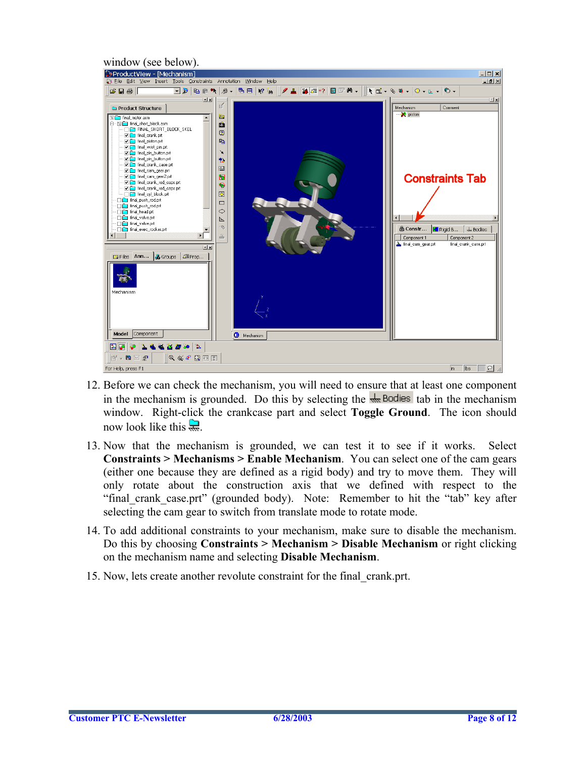

- 12. Before we can check the mechanism, you will need to ensure that at least one component in the mechanism is grounded. Do this by selecting the  $\frac{1}{\sqrt{2}}$  Bodies tab in the mechanism window. Right-click the crankcase part and select **Toggle Ground**. The icon should now look like this  $\mathbb{R}$
- 13. Now that the mechanism is grounded, we can test it to see if it works. Select **Constraints > Mechanisms > Enable Mechanism**. You can select one of the cam gears (either one because they are defined as a rigid body) and try to move them. They will only rotate about the construction axis that we defined with respect to the "final\_crank\_case.prt" (grounded body). Note: Remember to hit the "tab" key after selecting the cam gear to switch from translate mode to rotate mode.
- 14. To add additional constraints to your mechanism, make sure to disable the mechanism. Do this by choosing **Constraints > Mechanism > Disable Mechanism** or right clicking on the mechanism name and selecting **Disable Mechanism**.
- 15. Now, lets create another revolute constraint for the final\_crank.prt.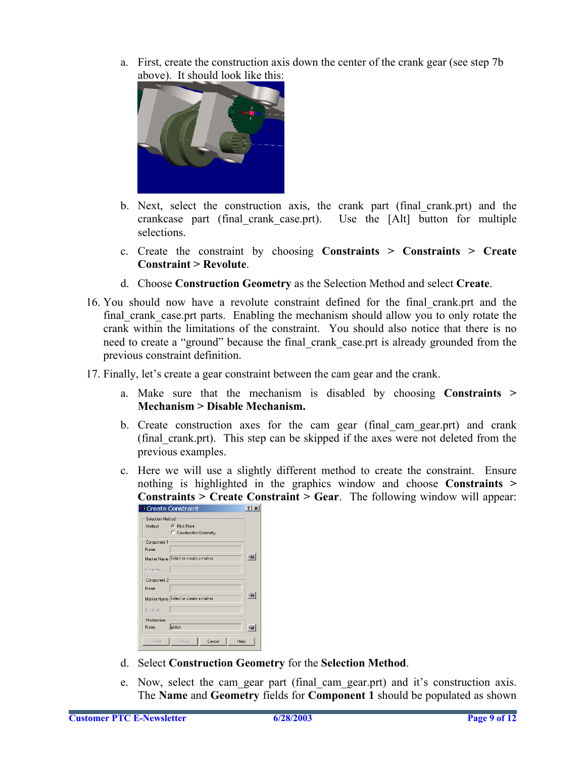a. First, create the construction axis down the center of the crank gear (see step 7b above). It should look like this:



- b. Next, select the construction axis, the crank part (final\_crank.prt) and the crankcase part (final\_crank\_case.prt). Use the [Alt] button for multiple selections.
- c. Create the constraint by choosing **Constraints > Constraints > Create Constraint > Revolute**.
- d. Choose **Construction Geometry** as the Selection Method and select **Create**.
- 16. You should now have a revolute constraint defined for the final\_crank.prt and the final crank case.prt parts. Enabling the mechanism should allow you to only rotate the crank within the limitations of the constraint. You should also notice that there is no need to create a "ground" because the final crank case.prt is already grounded from the previous constraint definition.
- 17. Finally, let's create a gear constraint between the cam gear and the crank.
	- a. Make sure that the mechanism is disabled by choosing **Constraints > Mechanism > Disable Mechanism.**
	- b. Create construction axes for the cam gear (final\_cam\_gear.prt) and crank (final\_crank.prt). This step can be skipped if the axes were not deleted from the previous examples.
	- c. Here we will use a slightly different method to create the constraint. Ensure nothing is highlighted in the graphics window and choose **Constraints > Constraints > Create Constraint > Gear**. The following window will appear:

|                   | <b>A</b> Create Constraint            |  |
|-------------------|---------------------------------------|--|
| Selection Method: |                                       |  |
| Method            | C Pick Point                          |  |
|                   | C Construction Geometry               |  |
| Component 1       |                                       |  |
| Name              |                                       |  |
|                   | Marker Name Select or create a marker |  |
| Geometry          |                                       |  |
| Component 2       |                                       |  |
| Name              |                                       |  |
|                   | Marker Name Select or create a marker |  |
| Geometry          |                                       |  |
| Mechanism         |                                       |  |
| Name              | piston                                |  |
| Create            | Cancel<br>Swap<br>Help                |  |

- d. Select **Construction Geometry** for the **Selection Method**.
- e. Now, select the cam\_gear part (final\_cam\_gear.prt) and it's construction axis. The **Name** and **Geometry** fields for **Component 1** should be populated as shown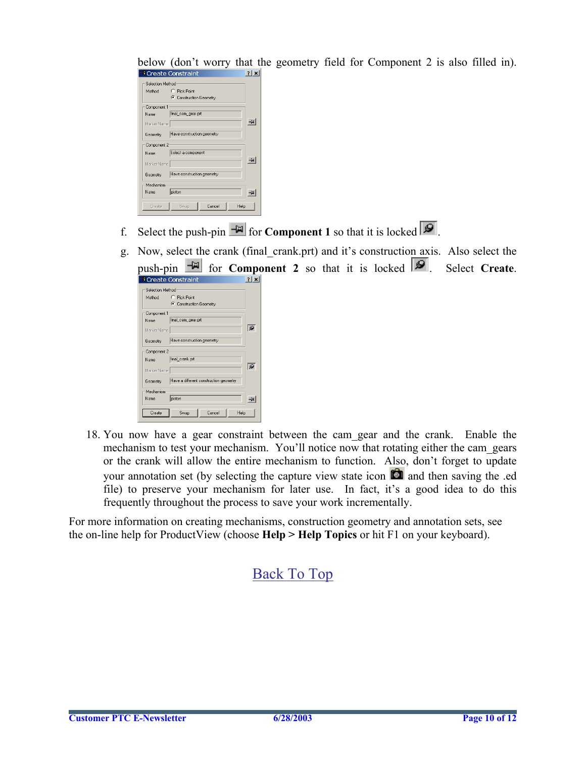below (don't worry that the geometry field for Component 2 is also filled in).

|                  | <b>** Create Constraint</b>   |  |
|------------------|-------------------------------|--|
| Selection Method |                               |  |
| Method           | C Pick Point                  |  |
|                  | C Construction Geometry       |  |
| Component 1      |                               |  |
| Name <b>19</b>   | final_cam_gear.prt            |  |
| Marker Name      |                               |  |
| Geometry         | Have construction geometry    |  |
| Component 2      |                               |  |
| Name.            | Select a component            |  |
| Marker Name      |                               |  |
| Geometry         | Have construction geometry    |  |
| Mechanism        |                               |  |
| Name.            | piston                        |  |
| Create           | Cancel<br>Help<br><b>Swap</b> |  |

- f. Select the push-pin  $\mathbb{F}$  for **Component 1** so that it is locked  $\mathcal{P}$ .
- g. Now, select the crank (final\_crank.prt) and it's construction axis. Also select the **p** onent 2 so that it is locked  $\mathcal{P}$ . Select **Create**.

| push-pin         | for <b>Compo</b>                       |                |
|------------------|----------------------------------------|----------------|
|                  | <sup>1</sup> Create Constraint         | $ 2  \times  $ |
| Selection Method |                                        |                |
| Method           | C. Pick Point                          |                |
|                  | C Construction Geometry                |                |
| Component 1      |                                        |                |
| Name             | final_cam_gear.prt                     |                |
| Marker Name      |                                        | 5ء ا           |
| Geometry         | Have construction geometry             |                |
| Component 2      |                                        |                |
| Name             | final_crank.prt                        |                |
| Marker Name      |                                        | l S            |
| Geometry         | Have a different construction geometry |                |
| Mechanism        |                                        |                |
| Name             | piston                                 | -64            |
| Create           | Help<br>Cancel<br>Swap                 |                |

18. You now have a gear constraint between the cam\_gear and the crank. Enable the mechanism to test your mechanism. You'll notice now that rotating either the cam\_gears or the crank will allow the entire mechanism to function. Also, don't forget to update your annotation set (by selecting the capture view state icon  $\Box$  and then saving the .ed file) to preserve your mechanism for later use. In fact, it's a good idea to do this frequently throughout the process to save your work incrementally.

For more information on creating mechanisms, construction geometry and annotation sets, see the on-line help for ProductView (choose **Help > Help Topics** or hit F1 on your keyboard).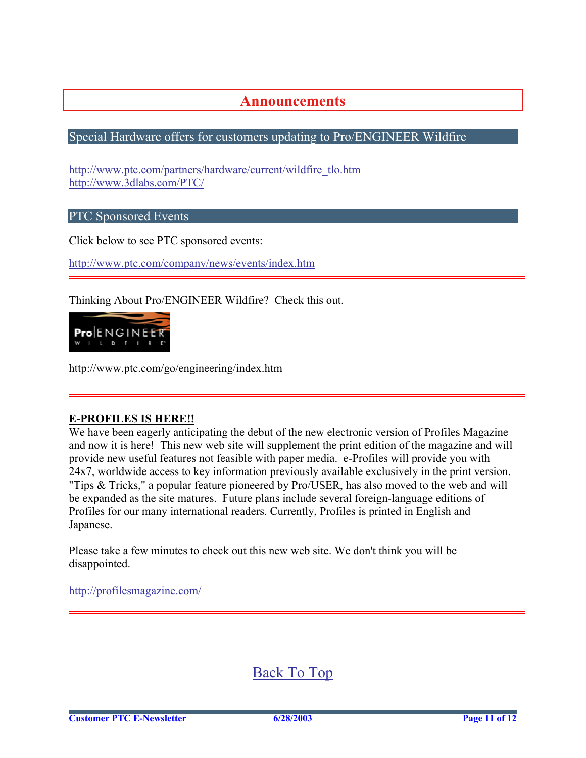### **Announcements**

### <span id="page-10-0"></span>Special Hardware offers for customers updating to Pro/ENGINEER Wildfire

[http://www.ptc.com/partners/hardware/current/wildfire\\_tlo.htm](http://www.ptc.com/partners/hardware/current/wildfire_tlo.htm)  <http://www.3dlabs.com/PTC/>

PTC Sponsored Events

Click below to see PTC sponsored events:

<http://www.ptc.com/company/news/events/index.htm>

Thinking About Pro/ENGINEER Wildfire? Check this out.



http://www.ptc.com/go/engineering/index.htm

#### **E-PROFILES IS HERE!!**

We have been eagerly anticipating the debut of the new electronic version of Profiles Magazine and now it is here! This new web site will supplement the print edition of the magazine and will provide new useful features not feasible with paper media. e-Profiles will provide you with 24x7, worldwide access to key information previously available exclusively in the print version. "Tips & Tricks," a popular feature pioneered by Pro/USER, has also moved to the web and will be expanded as the site matures. Future plans include several foreign-language editions of Profiles for our many international readers. Currently, Profiles is printed in English and Japanese.

Please take a few minutes to check out this new web site. We don't think you will be disappointed.

<http://profilesmagazine.com/>